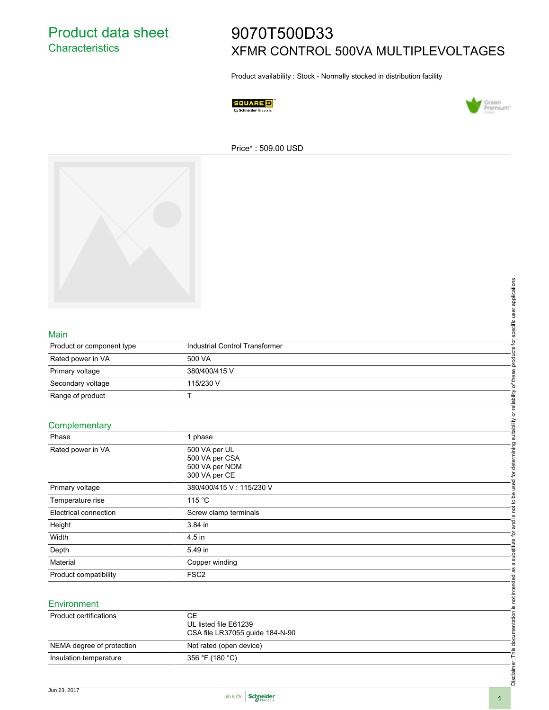# 9070T500D33 XFMR CONTROL 500VA MULTIPLEVOLTAGES

Product availability : Stock - Normally stocked in distribution facility





#### Price\* : 509.00 USD



#### Main

| Product or component type | Industrial Control Transformer |
|---------------------------|--------------------------------|
| Rated power in VA         | 500 VA                         |
| Primary voltage           | 380/400/415 V                  |
| Secondary voltage         | 115/230 V                      |
| Range of product          |                                |

### **Complementary**

| Main                          |                                 | specific user applications     |
|-------------------------------|---------------------------------|--------------------------------|
| Product or component type     | Industrial Control Transformer  |                                |
| Rated power in VA             | 500 VA                          | products for                   |
| Primary voltage               | 380/400/415 V                   |                                |
| Secondary voltage             | 115/230 V                       | of these                       |
| Range of product              | $\top$                          |                                |
|                               |                                 |                                |
| Complementary                 |                                 | suitability or reliability     |
| Phase                         | 1 phase                         |                                |
| Rated power in VA             | 500 VA per UL                   |                                |
|                               | 500 VA per CSA                  | used for determining           |
|                               | 500 VA per NOM                  |                                |
|                               | 300 VA per CE                   |                                |
| Primary voltage               | 380/400/415 V: 115/230 V        |                                |
| Temperature rise              | 115 °C                          | not to be                      |
| Electrical connection         | Screw clamp terminals           | <u>(0</u>                      |
| Height                        | 3.84 in                         | and                            |
| Width                         | 4.5 in                          |                                |
| Depth                         | 5.49 in                         | substitute for                 |
| Material                      | Copper winding                  | $\boldsymbol{\varpi}$          |
| Product compatibility         | FSC <sub>2</sub>                | .<br>შ                         |
|                               |                                 |                                |
| Environment                   |                                 | not intended                   |
| <b>Product certifications</b> | $\mathsf{CE}$                   | <u>.ഗ</u>                      |
|                               | UL listed file E61239           |                                |
|                               | CSA file LR37055 guide 184-N-90 |                                |
| NEMA degree of protection     | Not rated (open device)         |                                |
| Insulation temperature        | 356 °F (180 °C)                 | Disclaimer: This documentation |
|                               |                                 |                                |
|                               |                                 |                                |

#### **Environment**

| Product certifications    | СE<br>UL listed file E61239<br>CSA file LR37055 guide 184-N-90 |
|---------------------------|----------------------------------------------------------------|
| NEMA degree of protection | Not rated (open device)                                        |
| Insulation temperature    | 356 °F (180 °C)                                                |



Disclaimer: This documentation is not intended as a substitute for and is not to be used for determining suitability or reliability of these products for specific user applications